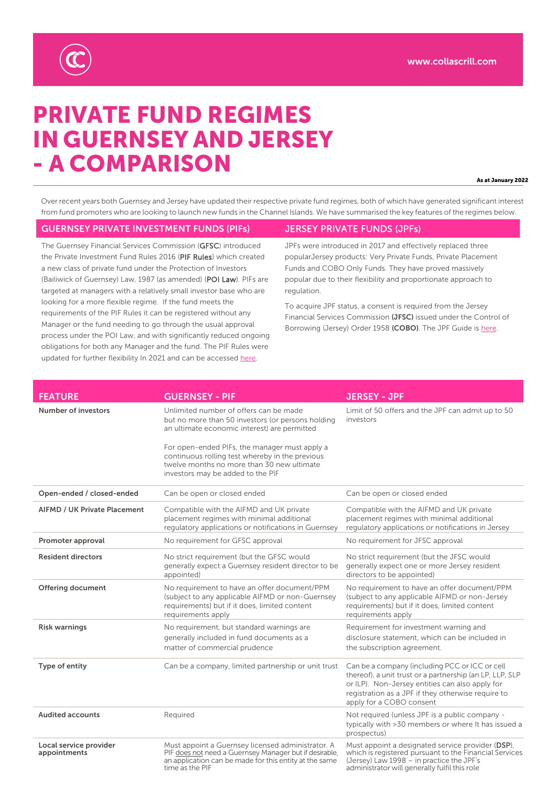

# PRIVATE FUND REGIMES IN GUERNSEY AND JERSEY - A COMPARISON

As at January 2022

Over recent years both Guernsey and Jersey have updated their respective private fund regimes, both of which have generated significant interest from fund promoters who are looking to launch new funds in the Channel Islands. We have summarised the key features of the regimes below.

#### GUERNSEY PRIVATE INVESTMENT FUNDS (PIFs) JERSEY PRIVATE FUNDS (JPFs)

The Guernsey Financial Services Commission (GFSC) introduced the Private Investment Fund Rules 2016 (PIF Rules) which created a new class of private fund under the Protection of Investors (Bailiwick of Guernsey) Law, 1987 (as amended) (POI Law). PIFs are targeted at managers with a relatively small investor base who are looking for a more flexible regime. If the fund meets the requirements of the PIF Rules it can be registered without any Manager or the fund needing to go through the usual approval process under the POI Law, and with significantly reduced ongoing obligations for both any Manager and the fund. The PIF Rules were updated for further flexibility In 2021 and can be accessed here.

JPFs were introduced in 2017 and effectively replaced three popularJersey products: Very Private Funds, Private Placement Funds and COBO Only Funds. They have proved massively popular due to their flexibility and proportionate approach to regulation.

To acquire JPF status, a consent is required from the Jersey Financial Services Commission (JFSC) issued under the Control of Borrowing (Jersey) Order 1958 (COBO). The JPF Guide is here.

| <b>FEATURE</b>                         | <b>GUERNSEY - PIF</b>                                                                                                                                                                                                                                                                                                              | <b>JERSEY - JPF</b>                                                                                                                                                                                                                             |
|----------------------------------------|------------------------------------------------------------------------------------------------------------------------------------------------------------------------------------------------------------------------------------------------------------------------------------------------------------------------------------|-------------------------------------------------------------------------------------------------------------------------------------------------------------------------------------------------------------------------------------------------|
| <b>Number of investors</b>             | Unlimited number of offers can be made<br>but no more than 50 investors (or persons holding<br>an ultimate economic interest) are permitted<br>For open-ended PIFs, the manager must apply a<br>continuous rolling test whereby in the previous<br>twelve months no more than 30 new ultimate<br>investors may be added to the PIF | Limit of 50 offers and the JPF can admit up to 50<br>investors                                                                                                                                                                                  |
| Open-ended / closed-ended              | Can be open or closed ended                                                                                                                                                                                                                                                                                                        | Can be open or closed ended                                                                                                                                                                                                                     |
| <b>AIFMD / UK Private Placement</b>    | Compatible with the AIFMD and UK private<br>placement regimes with minimal additional<br>regulatory applications or notifications in Guernsey                                                                                                                                                                                      | Compatible with the AIFMD and UK private<br>placement regimes with minimal additional<br>regulatory applications or notifications in Jersey                                                                                                     |
| Promoter approval                      | No requirement for GFSC approval                                                                                                                                                                                                                                                                                                   | No requirement for JFSC approval                                                                                                                                                                                                                |
| <b>Resident directors</b>              | No strict requirement (but the GFSC would<br>generally expect a Guernsey resident director to be<br>appointed)                                                                                                                                                                                                                     | No strict requirement (but the JFSC would<br>generally expect one or more Jersey resident<br>directors to be appointed)                                                                                                                         |
| <b>Offering document</b>               | No requirement to have an offer document/PPM<br>(subject to any applicable AIFMD or non-Guernsey<br>requirements) but if it does, limited content<br>requirements apply                                                                                                                                                            | No requirement to have an offer document/PPM<br>(subject to any applicable AIFMD or non-Jersey<br>requirements) but if it does, limited content<br>requirements apply                                                                           |
| <b>Risk warnings</b>                   | No requirement, but standard warnings are<br>generally included in fund documents as a<br>matter of commercial prudence                                                                                                                                                                                                            | Requirement for investment warning and<br>disclosure statement, which can be included in<br>the subscription agreement.                                                                                                                         |
| Type of entity                         | Can be a company, limited partnership or unit trust                                                                                                                                                                                                                                                                                | Can be a company (including PCC or ICC or cell<br>thereof), a unit trust or a partnership (an LP, LLP, SLP<br>or ILP). Non-Jersey entities can also apply for<br>registration as a JPF if they otherwise require to<br>apply for a COBO consent |
| <b>Audited accounts</b>                | Required                                                                                                                                                                                                                                                                                                                           | Not required (unless JPF is a public company -<br>typically with >30 members or where It has issued a<br>prospectus)                                                                                                                            |
| Local service provider<br>appointments | Must appoint a Guernsey licensed administrator. A<br>PIF does not need a Guernsey Manager but if desirable,<br>an application can be made for this entity at the same<br>time as the PIF                                                                                                                                           | Must appoint a designated service provider (DSP),<br>which is registered pursuant to the Financial Services<br>(Jersey) Law 1998 - in practice the JPF's<br>administrator will generally fulfil this role                                       |